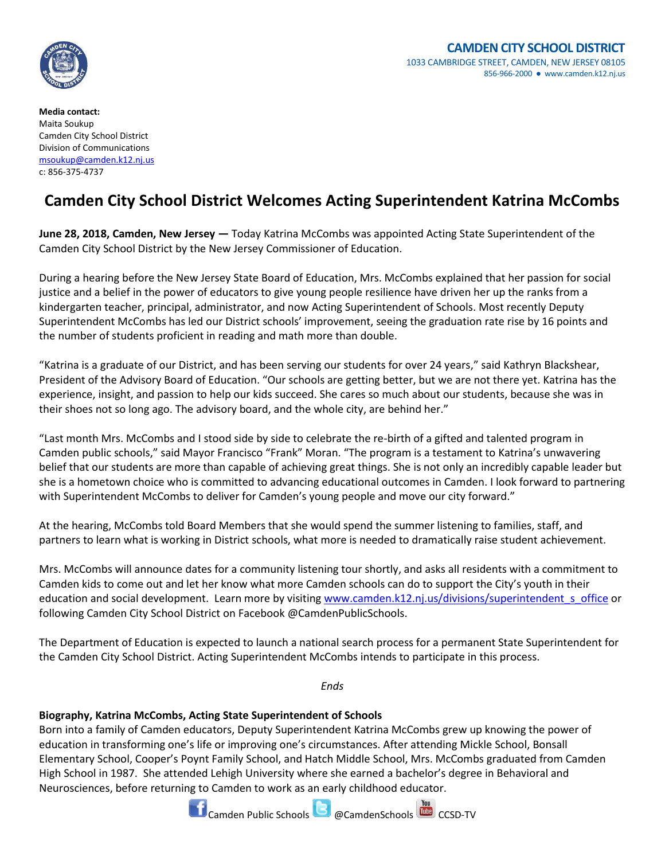

**Media contact:** Maita Soukup Camden City School District Division of Communications [msoukup@camden.k12.nj.us](mailto:msoukup@camden.k12.nj.us) c: 856-375-4737

## **Camden City School District Welcomes Acting Superintendent Katrina McCombs**

**June 28, 2018, Camden, New Jersey —** Today Katrina McCombs was appointed Acting State Superintendent of the Camden City School District by the New Jersey Commissioner of Education.

During a hearing before the New Jersey State Board of Education, Mrs. McCombs explained that her passion for social justice and a belief in the power of educators to give young people resilience have driven her up the ranks from a kindergarten teacher, principal, administrator, and now Acting Superintendent of Schools. Most recently Deputy Superintendent McCombs has led our District schools' improvement, seeing the graduation rate rise by 16 points and the number of students proficient in reading and math more than double.

"Katrina is a graduate of our District, and has been serving our students for over 24 years," said Kathryn Blackshear, President of the Advisory Board of Education. "Our schools are getting better, but we are not there yet. Katrina has the experience, insight, and passion to help our kids succeed. She cares so much about our students, because she was in their shoes not so long ago. The advisory board, and the whole city, are behind her."

"Last month Mrs. McCombs and I stood side by side to celebrate the re-birth of a gifted and talented program in Camden public schools," said Mayor Francisco "Frank" Moran. "The program is a testament to Katrina's unwavering belief that our students are more than capable of achieving great things. She is not only an incredibly capable leader but she is a hometown choice who is committed to advancing educational outcomes in Camden. I look forward to partnering with Superintendent McCombs to deliver for Camden's young people and move our city forward."

At the hearing, McCombs told Board Members that she would spend the summer listening to families, staff, and partners to learn what is working in District schools, what more is needed to dramatically raise student achievement.

Mrs. McCombs will announce dates for a community listening tour shortly, and asks all residents with a commitment to Camden kids to come out and let her know what more Camden schools can do to support the City's youth in their education and social development. Learn more by visiting [www.camden.k12.nj.us/divisions/superintendent\\_s\\_office](http://www.camden.k12.nj.us/divisions/superintendent_s_office) or following Camden City School District on Facebook @CamdenPublicSchools.

The Department of Education is expected to launch a national search process for a permanent State Superintendent for the Camden City School District. Acting Superintendent McCombs intends to participate in this process.

*Ends*

## **Biography, Katrina McCombs, Acting State Superintendent of Schools**

Born into a family of Camden educators, Deputy Superintendent Katrina McCombs grew up knowing the power of education in transforming one's life or improving one's circumstances. After attending Mickle School, Bonsall Elementary School, Cooper's Poynt Family School, and Hatch Middle School, Mrs. McCombs graduated from Camden High School in 1987. She attended Lehigh University where she earned a bachelor's degree in Behavioral and Neurosciences, before returning to Camden to work as an early childhood educator.